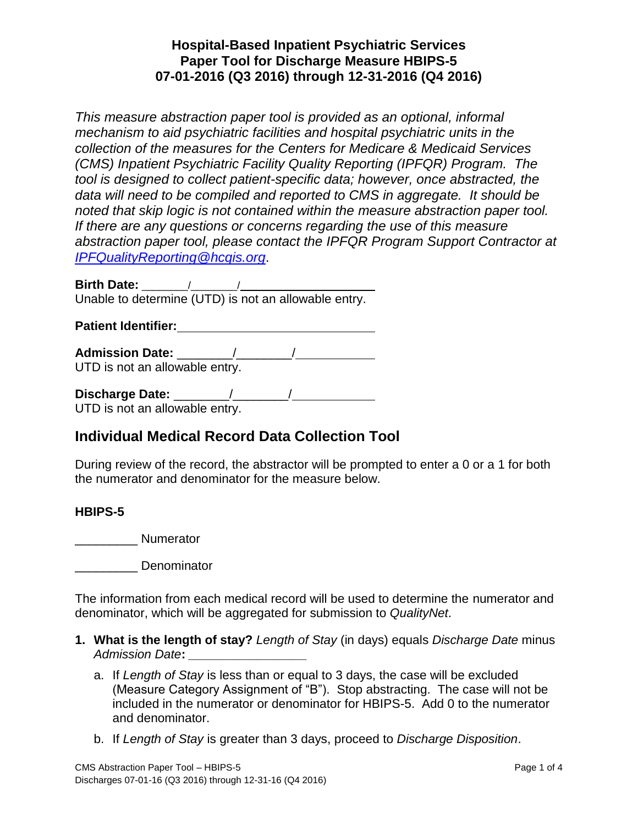## **Hospital-Based Inpatient Psychiatric Services Paper Tool for Discharge Measure HBIPS-5 07-01-2016 (Q3 2016) through 12-31-2016 (Q4 2016)**

*This measure abstraction paper tool is provided as an optional, informal mechanism to aid psychiatric facilities and hospital psychiatric units in the collection of the measures for the Centers for Medicare & Medicaid Services (CMS) Inpatient Psychiatric Facility Quality Reporting (IPFQR) Program. The tool is designed to collect patient-specific data; however, once abstracted, the data will need to be compiled and reported to CMS in aggregate. It should be noted that skip logic is not contained within the measure abstraction paper tool. If there are any questions or concerns regarding the use of this measure abstraction paper tool, please contact the IPFQR Program Support Contractor at [IPFQualityReporting@hcqis.org](mailto:IPFQualityReporting@hcqis.org)*.

**Birth Date:** \_\_\_\_\_\_\_\_/\_\_\_\_\_\_\_\_/ Unable to determine (UTD) is not an allowable entry.

**Patient Identifier:**

**Admission Date:** \_\_\_\_\_\_\_\_/\_\_\_\_\_\_\_\_/ UTD is not an allowable entry.

**Discharge Date:** \_\_\_\_\_\_\_\_/\_\_\_\_\_\_\_\_/ UTD is not an allowable entry.

# **Individual Medical Record Data Collection Tool**

During review of the record, the abstractor will be prompted to enter a 0 or a 1 for both the numerator and denominator for the measure below.

#### **HBIPS-5**

\_\_\_\_\_\_\_\_\_ Numerator

\_\_\_\_\_\_\_\_\_ Denominator

The information from each medical record will be used to determine the numerator and denominator, which will be aggregated for submission to *QualityNet*.

- **1. What is the length of stay?** *Length of Stay* (in days) equals *Discharge Date* minus *Admission Date***:** *\_\_\_\_\_\_\_\_\_\_\_\_\_\_\_\_\_*
	- a. If *Length of Stay* is less than or equal to 3 days, the case will be excluded (Measure Category Assignment of "B"). Stop abstracting. The case will not be included in the numerator or denominator for HBIPS-5. Add 0 to the numerator and denominator.
	- b. If *Length of Stay* is greater than 3 days, proceed to *Discharge Disposition*.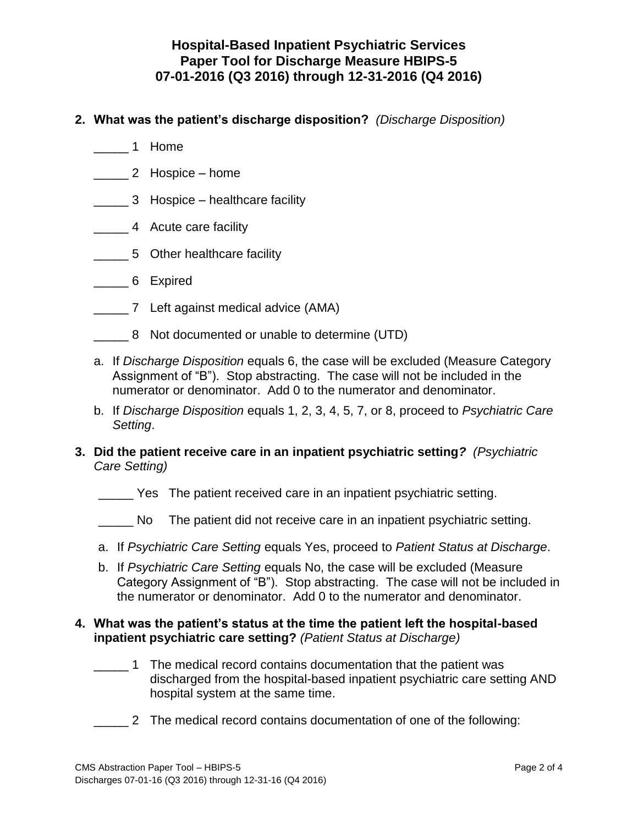#### **Hospital-Based Inpatient Psychiatric Services Paper Tool for Discharge Measure HBIPS-5 07-01-2016 (Q3 2016) through 12-31-2016 (Q4 2016)**

- **2. What was the patient's discharge disposition?** *(Discharge Disposition)*
	- \_\_\_\_\_ 1 Home
	- \_\_\_\_\_ 2 Hospice home
	- \_\_\_\_\_ 3 Hospice healthcare facility
	- \_\_\_\_\_ 4 Acute care facility
	- \_\_\_\_\_ 5 Other healthcare facility
	- \_\_\_\_\_ 6 Expired
	- \_\_\_\_\_ 7 Left against medical advice (AMA)
	- \_\_\_\_\_ 8 Not documented or unable to determine (UTD)
	- a. If *Discharge Disposition* equals 6, the case will be excluded (Measure Category Assignment of "B"). Stop abstracting. The case will not be included in the numerator or denominator. Add 0 to the numerator and denominator.
	- b. If *Discharge Disposition* equals 1, 2, 3, 4, 5, 7, or 8, proceed to *Psychiatric Care Setting*.
- **3. Did the patient receive care in an inpatient psychiatric setting***? (Psychiatric Care Setting)*
	- \_\_\_\_\_ Yes The patient received care in an inpatient psychiatric setting.
	- \_\_\_\_\_ No The patient did not receive care in an inpatient psychiatric setting.
	- a. If *Psychiatric Care Setting* equals Yes, proceed to *Patient Status at Discharge*.
	- b. If *Psychiatric Care Setting* equals No, the case will be excluded (Measure Category Assignment of "B"). Stop abstracting. The case will not be included in the numerator or denominator. Add 0 to the numerator and denominator.

#### **4. What was the patient's status at the time the patient left the hospital-based inpatient psychiatric care setting?** *(Patient Status at Discharge)*

- \_\_\_\_\_ 1 The medical record contains documentation that the patient was discharged from the hospital-based inpatient psychiatric care setting AND hospital system at the same time.
- \_\_\_\_\_ 2 The medical record contains documentation of one of the following: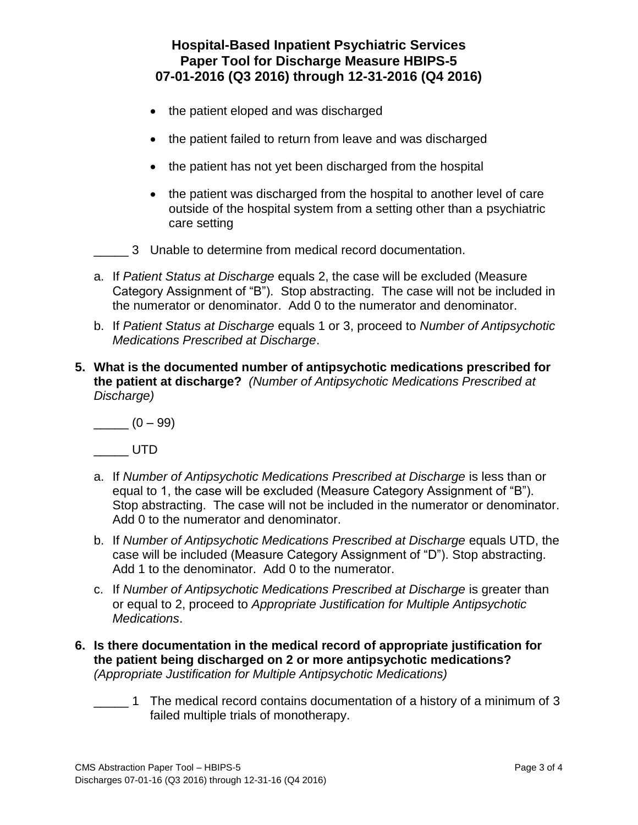## **Hospital-Based Inpatient Psychiatric Services Paper Tool for Discharge Measure HBIPS-5 07-01-2016 (Q3 2016) through 12-31-2016 (Q4 2016)**

- the patient eloped and was discharged
- the patient failed to return from leave and was discharged
- the patient has not yet been discharged from the hospital
- the patient was discharged from the hospital to another level of care outside of the hospital system from a setting other than a psychiatric care setting
- 3 Unable to determine from medical record documentation.
- a. If *Patient Status at Discharge* equals 2, the case will be excluded (Measure Category Assignment of "B"). Stop abstracting. The case will not be included in the numerator or denominator. Add 0 to the numerator and denominator.
- b. If *Patient Status at Discharge* equals 1 or 3, proceed to *Number of Antipsychotic Medications Prescribed at Discharge*.
- **5. What is the documented number of antipsychotic medications prescribed for the patient at discharge?** *(Number of Antipsychotic Medications Prescribed at Discharge)*

 $\frac{1}{2}$  (0 – 99)

\_\_\_\_\_ UTD

- a. If *Number of Antipsychotic Medications Prescribed at Discharge* is less than or equal to 1, the case will be excluded (Measure Category Assignment of "B"). Stop abstracting. The case will not be included in the numerator or denominator. Add 0 to the numerator and denominator.
- b. If *Number of Antipsychotic Medications Prescribed at Discharge* equals UTD, the case will be included (Measure Category Assignment of "D"). Stop abstracting. Add 1 to the denominator. Add 0 to the numerator.
- c. If *Number of Antipsychotic Medications Prescribed at Discharge* is greater than or equal to 2, proceed to *Appropriate Justification for Multiple Antipsychotic Medications*.
- **6. Is there documentation in the medical record of appropriate justification for the patient being discharged on 2 or more antipsychotic medications?**  *(Appropriate Justification for Multiple Antipsychotic Medications)*
	- 1 The medical record contains documentation of a history of a minimum of 3 failed multiple trials of monotherapy.